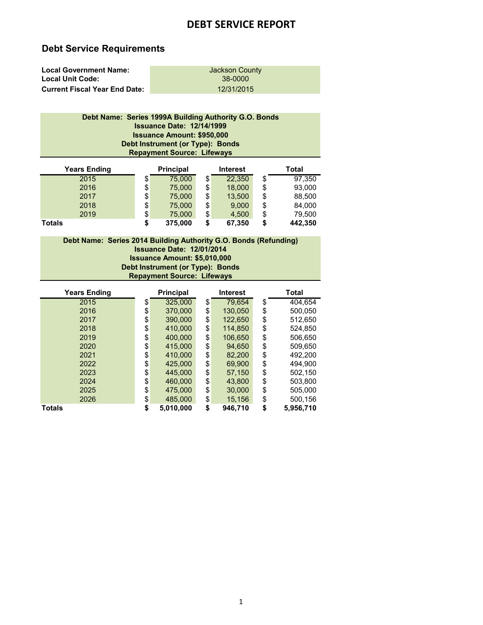# **Debt Service Requirements**

| <b>Local Government Name:</b>        | Jackson County |
|--------------------------------------|----------------|
| <b>Local Unit Code:</b>              | 38-0000        |
| <b>Current Fiscal Year End Date:</b> | 12/31/2015     |

### **Repayment Source: Lifeways Debt Name: Series 1999A Building Authority G.O. Bonds Issuance Date: 12/14/1999 Debt Instrument (or Type): Bonds Issuance Amount: \$950,000**

| <b>Years Ending</b> | <b>Principal</b> |    | <b>Interest</b> | <b>Total</b>  |
|---------------------|------------------|----|-----------------|---------------|
| 2015                | \$<br>75,000     | \$ | 22.350          | \$<br>97.350  |
| 2016                | \$<br>75,000     | \$ | 18,000          | \$<br>93,000  |
| 2017                | \$<br>75,000     | \$ | 13,500          | \$<br>88,500  |
| 2018                | \$<br>75,000     | \$ | 9.000           | \$<br>84,000  |
| 2019                | \$<br>75,000     | \$ | 4,500           | \$<br>79,500  |
| <b>Totals</b>       | \$<br>375,000    | S  | 67,350          | \$<br>442,350 |

**Issuance Date: 12/01/2014 Debt Name: Series 2014 Building Authority G.O. Bonds (Refunding) Issuance Amount: \$5,010,000 Repayment Source: Lifeways Debt Instrument (or Type): Bonds**

| <b>Years Ending</b> | <b>Principal</b> | Interest      | Total           |
|---------------------|------------------|---------------|-----------------|
| 2015                | \$<br>325,000    | \$<br>79,654  | \$<br>404,654   |
| 2016                | \$<br>370,000    | \$<br>130.050 | \$<br>500,050   |
| 2017                | \$<br>390,000    | \$<br>122,650 | \$<br>512,650   |
| 2018                | \$<br>410,000    | \$<br>114,850 | \$<br>524,850   |
| 2019                | \$<br>400,000    | \$<br>106.650 | \$<br>506.650   |
| 2020                | \$<br>415,000    | \$<br>94.650  | \$<br>509,650   |
| 2021                | \$<br>410,000    | \$<br>82,200  | \$<br>492,200   |
| 2022                | \$<br>425,000    | \$<br>69,900  | \$<br>494,900   |
| 2023                | \$<br>445,000    | \$<br>57,150  | \$<br>502,150   |
| 2024                | \$<br>460,000    | \$<br>43,800  | \$<br>503,800   |
| 2025                | \$<br>475,000    | \$<br>30,000  | \$<br>505,000   |
| 2026                | \$<br>485,000    | \$<br>15,156  | \$<br>500,156   |
| <b>Totals</b>       | \$<br>5,010,000  | \$<br>946.710 | \$<br>5,956,710 |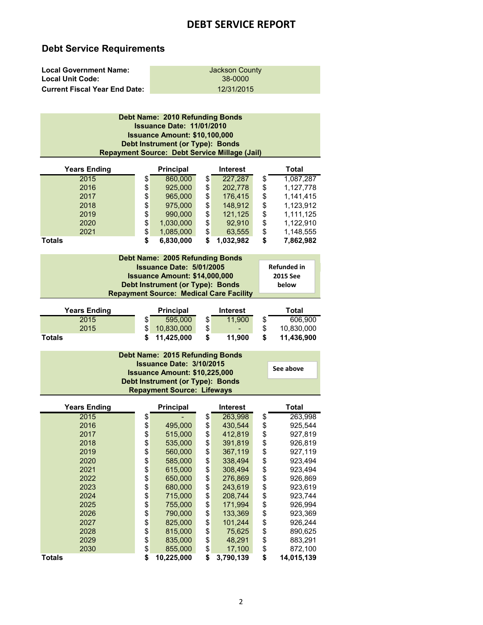# **Debt Service Requirements**

| <b>Local Government Name:</b>        | Jackson County |
|--------------------------------------|----------------|
| <b>Local Unit Code:</b>              | 38-0000        |
| <b>Current Fiscal Year End Date:</b> | 12/31/2015     |

| <b>Years Ending</b><br>2015<br>2016                  | \$<br>\$                   | Debt Name: 2010 Refunding Bonds<br><b>Issuance Date: 11/01/2010</b><br><b>Issuance Amount: \$10,100,000</b><br>Debt Instrument (or Type): Bonds<br>Repayment Source: Debt Service Millage (Jail)<br>Principal<br>860,000<br>925,000 | \$<br>\$                   | <b>Interest</b><br>227,287<br>202,778    | \$<br>\$                   | <b>Total</b><br>1,087,287<br>1,127,778              |
|------------------------------------------------------|----------------------------|-------------------------------------------------------------------------------------------------------------------------------------------------------------------------------------------------------------------------------------|----------------------------|------------------------------------------|----------------------------|-----------------------------------------------------|
| 2017<br>2018<br>2019                                 | \$<br>\$<br>\$             | 965,000<br>975,000<br>990,000                                                                                                                                                                                                       | \$<br>\$<br>\$             | 176,415<br>148,912<br>121,125            | \$<br>\$<br>\$             | 1,141,415<br>1,123,912<br>1,111,125                 |
| 2020<br>2021<br>Totals                               | \$<br>\$<br>\$             | 1,030,000<br>1,085,000<br>6,830,000                                                                                                                                                                                                 | \$<br>\$<br>\$             | 92,910<br>63,555<br>1,032,982            | \$<br>\$<br>\$             | 1,122,910<br>1,148,555<br>7,862,982                 |
|                                                      |                            | Debt Name: 2005 Refunding Bonds<br>Issuance Date: 5/01/2005<br><b>Issuance Amount: \$14,000,000</b><br>Debt Instrument (or Type): Bonds<br><b>Repayment Source: Medical Care Facility</b>                                           |                            |                                          |                            | <b>Refunded in</b><br>2015 See<br>below             |
| <b>Years Ending</b><br>2015<br>2015<br><b>Totals</b> | \$<br>\$<br>\$             | Principal<br>595,000<br>10,830,000<br>11,425,000                                                                                                                                                                                    | \$<br>\$<br>\$             | <b>Interest</b><br>11,900<br>11,900      | \$<br>\$<br>\$             | <b>Total</b><br>606,900<br>10,830,000<br>11,436,900 |
|                                                      |                            | Debt Name: 2015 Refunding Bonds<br>Issuance Date: 3/10/2015<br><b>Issuance Amount: \$10,225,000</b><br>Debt Instrument (or Type): Bonds<br><b>Repayment Source: Lifeways</b>                                                        |                            |                                          |                            | See above                                           |
| <b>Years Ending</b>                                  |                            | Principal                                                                                                                                                                                                                           |                            | <b>Interest</b>                          |                            | <b>Total</b>                                        |
| 2015<br>2016<br>2017<br>2018                         | \$<br>\$<br>\$<br>\$<br>\$ | 495,000<br>515,000<br>535,000<br>560,000                                                                                                                                                                                            | \$<br>\$<br>\$<br>\$<br>\$ | 263,998<br>430,544<br>412,819<br>391,819 | \$<br>\$<br>\$<br>\$<br>\$ | 263,998<br>925,544<br>927,819<br>926,819            |
| 2019<br>2020<br>2021<br>2022                         | \$<br>\$<br>\$             | 585,000<br>615,000<br>650,000                                                                                                                                                                                                       | \$<br>\$<br>\$             | 367,119<br>338,494<br>308,494<br>276,869 | \$<br>\$<br>\$             | 927,119<br>923,494<br>923,494<br>926,869            |
| 2023<br>2024<br>2025<br>2026                         | \$<br>\$<br>\$             | 680,000<br>715,000<br>755,000<br>790,000                                                                                                                                                                                            | \$<br>\$<br>\$<br>\$       | 243,619<br>208,744<br>171,994<br>133,369 | \$<br>\$<br>\$<br>\$       | 923,619<br>923,744<br>926,994<br>923,369            |
| 2027<br>2028<br>2029                                 | \$<br>\$<br>\$             | 825,000<br>815,000<br>835,000                                                                                                                                                                                                       | \$<br>\$<br>\$             | 101,244<br>75,625<br>48,291              | \$<br>\$<br>\$             | 926,244<br>890,625<br>883,291                       |
| 2030<br>Totals                                       | \$<br>\$                   | 855,000<br>10,225,000                                                                                                                                                                                                               | \$<br>\$                   | 17,100<br>3,790,139                      | \$<br>\$                   | 872,100<br>14,015,139                               |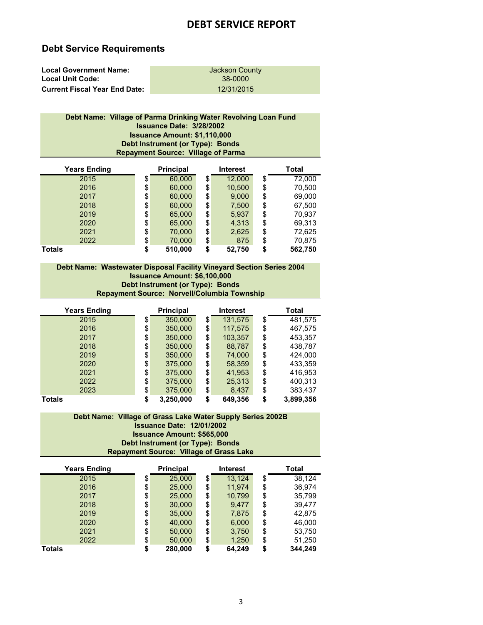# **Debt Service Requirements**

| <b>Local Government Name:</b>        | Jackson County |
|--------------------------------------|----------------|
| <b>Local Unit Code:</b>              | 38-0000        |
| <b>Current Fiscal Year End Date:</b> | 12/31/2015     |

| Debt Name: Village of Parma Drinking Water Revolving Loan Fund |
|----------------------------------------------------------------|
| <b>Issuance Date: 3/28/2002</b>                                |
| <b>Issuance Amount: \$1,110,000</b>                            |
| Debt Instrument (or Type): Bonds                               |
| <b>Repayment Source: Village of Parma</b>                      |
|                                                                |

| <b>Years Ending</b> | <b>Principal</b> | <b>Interest</b> | Total         |
|---------------------|------------------|-----------------|---------------|
| 2015                | \$<br>60,000     | \$<br>12,000    | \$<br>72,000  |
| 2016                | \$<br>60,000     | \$<br>10,500    | \$<br>70,500  |
| 2017                | \$<br>60,000     | \$<br>9,000     | \$<br>69,000  |
| 2018                | \$<br>60,000     | \$<br>7,500     | \$<br>67,500  |
| 2019                | \$<br>65,000     | \$<br>5,937     | \$<br>70,937  |
| 2020                | \$<br>65,000     | \$<br>4,313     | \$<br>69,313  |
| 2021                | \$<br>70,000     | \$<br>2,625     | \$<br>72,625  |
| 2022                | \$<br>70,000     | \$<br>875       | \$<br>70,875  |
| <b>Totals</b>       | \$<br>510,000    | \$<br>52,750    | \$<br>562,750 |

#### **Debt Instrument (or Type): Bonds Debt Name: Wastewater Disposal Facility Vineyard Section Series 2004 Issuance Amount: \$6,100,000 Repayment Source: Norvell/Columbia Township**

| <b>Years Ending</b> | <b>Principal</b> | Interest      | Total           |
|---------------------|------------------|---------------|-----------------|
| 2015                | \$<br>350,000    | \$<br>131,575 | \$<br>481,575   |
| 2016                | \$<br>350,000    | \$<br>117,575 | \$<br>467,575   |
| 2017                | \$<br>350,000    | \$<br>103,357 | \$<br>453,357   |
| 2018                | \$<br>350,000    | \$<br>88,787  | \$<br>438,787   |
| 2019                | \$<br>350,000    | \$<br>74,000  | \$<br>424,000   |
| 2020                | \$<br>375,000    | \$<br>58,359  | \$<br>433,359   |
| 2021                | \$<br>375,000    | \$<br>41,953  | \$<br>416,953   |
| 2022                | \$<br>375,000    | \$<br>25,313  | \$<br>400,313   |
| 2023                | \$<br>375,000    | \$<br>8,437   | \$<br>383,437   |
| Totals              | \$<br>3.250.000  | \$<br>649,356 | \$<br>3,899,356 |

### **Debt Name: Village of Grass Lake Water Supply Series 2002B Issuance Date: 12/01/2002 Issuance Amount: \$565,000 Repayment Source: Village of Grass Lake Debt Instrument (or Type): Bonds**

| <b>Years Ending</b> | Principal     | <b>Interest</b> | Total         |
|---------------------|---------------|-----------------|---------------|
| 2015                | \$<br>25,000  | \$<br>13.124    | \$<br>38,124  |
| 2016                | \$<br>25,000  | \$<br>11.974    | \$<br>36,974  |
| 2017                | \$<br>25,000  | \$<br>10,799    | \$<br>35,799  |
| 2018                | \$<br>30,000  | \$<br>9.477     | \$<br>39.477  |
| 2019                | \$<br>35,000  | \$<br>7,875     | \$<br>42,875  |
| 2020                | \$<br>40,000  | \$<br>6,000     | \$<br>46,000  |
| 2021                | \$<br>50,000  | \$<br>3,750     | \$<br>53,750  |
| 2022                | \$<br>50,000  | \$<br>1,250     | \$<br>51,250  |
| <b>Totals</b>       | \$<br>280,000 | \$<br>64,249    | \$<br>344,249 |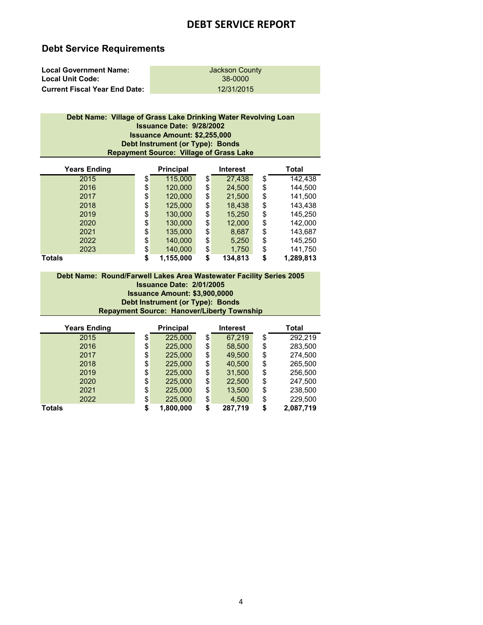# **Debt Service Requirements**

| <b>Local Government Name:</b>        | Jackson County |
|--------------------------------------|----------------|
| <b>Local Unit Code:</b>              | 38-0000        |
| <b>Current Fiscal Year End Date:</b> | 12/31/2015     |

| Debt Name: Village of Grass Lake Drinking Water Revolving Loan |
|----------------------------------------------------------------|
| <b>Issuance Date: 9/28/2002</b>                                |
| <b>Issuance Amount: \$2,255,000</b>                            |
| Debt Instrument (or Type): Bonds                               |
| <b>Repayment Source: Village of Grass Lake</b>                 |
|                                                                |

| <b>Years Ending</b> | Principal       | <b>Interest</b> | Total           |
|---------------------|-----------------|-----------------|-----------------|
| 2015                | \$<br>115,000   | \$<br>27,438    | \$<br>142,438   |
| 2016                | \$<br>120,000   | \$<br>24,500    | \$<br>144,500   |
| 2017                | \$<br>120,000   | \$<br>21,500    | \$<br>141,500   |
| 2018                | \$<br>125,000   | \$<br>18,438    | \$<br>143,438   |
| 2019                | \$<br>130,000   | \$<br>15,250    | \$<br>145,250   |
| 2020                | \$<br>130,000   | \$<br>12,000    | \$<br>142,000   |
| 2021                | \$<br>135,000   | \$<br>8,687     | \$<br>143,687   |
| 2022                | \$<br>140,000   | \$<br>5,250     | \$<br>145,250   |
| 2023                | \$<br>140,000   | \$<br>1,750     | \$<br>141,750   |
| Totals              | \$<br>1,155,000 | \$<br>134,813   | \$<br>1,289,813 |

### **Issuance Amount: \$3,900,0000 Repayment Source: Hanover/Liberty Township Debt Instrument (or Type): Bonds Debt Name: Round/Farwell Lakes Area Wastewater Facility Series 2005 Issuance Date: 2/01/2005**

| <b>Years Ending</b> |    | <b>Principal</b> |    | <b>Interest</b> | <b>Total</b>    |
|---------------------|----|------------------|----|-----------------|-----------------|
| 2015                | \$ | 225.000          | \$ | 67,219          | \$<br>292.219   |
| 2016                | \$ | 225,000          | \$ | 58,500          | \$<br>283,500   |
| 2017                | \$ | 225.000          | \$ | 49.500          | \$<br>274.500   |
| 2018                | \$ | 225,000          | \$ | 40,500          | \$<br>265,500   |
| 2019                | \$ | 225.000          | \$ | 31,500          | \$<br>256,500   |
| 2020                | \$ | 225,000          | \$ | 22,500          | \$<br>247,500   |
| 2021                | \$ | 225,000          | \$ | 13,500          | \$<br>238,500   |
| 2022                | \$ | 225,000          | \$ | 4,500           | \$<br>229,500   |
| <b>Totals</b>       | S  | 1,800,000        | S  | 287,719         | \$<br>2,087,719 |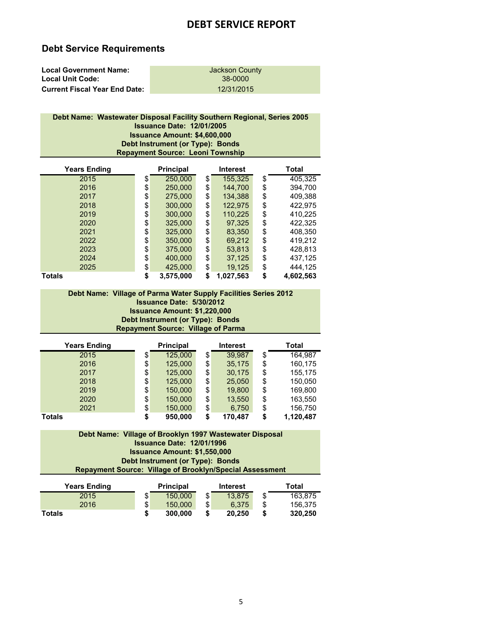### **Debt Service Requirements**

| <b>Local Government Name:</b>        | Jackson County |
|--------------------------------------|----------------|
| <b>Local Unit Code:</b>              | 38-0000        |
| <b>Current Fiscal Year End Date:</b> | 12/31/2015     |

### **Debt Name: Wastewater Disposal Facility Southern Regional, Series 2005 Issuance Date: 12/01/2005 Issuance Amount: \$4,600,000 Repayment Source: Leoni Township Debt Instrument (or Type): Bonds**

| <b>Years Ending</b> | <b>Principal</b> | <b>Interest</b> | Total           |
|---------------------|------------------|-----------------|-----------------|
| 2015                | \$<br>250,000    | \$<br>155,325   | \$<br>405,325   |
| 2016                | \$<br>250,000    | \$<br>144,700   | \$<br>394,700   |
| 2017                | \$<br>275,000    | \$<br>134,388   | \$<br>409,388   |
| 2018                | \$<br>300,000    | \$<br>122,975   | \$<br>422,975   |
| 2019                | \$<br>300,000    | \$<br>110,225   | \$<br>410,225   |
| 2020                | \$<br>325,000    | \$<br>97,325    | \$<br>422,325   |
| 2021                | \$<br>325,000    | \$<br>83,350    | \$<br>408,350   |
| 2022                | \$<br>350,000    | \$<br>69,212    | \$<br>419,212   |
| 2023                | \$<br>375,000    | \$<br>53,813    | \$<br>428,813   |
| 2024                | \$<br>400,000    | \$<br>37,125    | \$<br>437,125   |
| 2025                | \$<br>425,000    | \$<br>19,125    | \$<br>444,125   |
| Totals              | \$<br>3,575,000  | \$<br>1,027,563 | \$<br>4,602,563 |

### **Debt Instrument (or Type): Bonds Debt Name: Village of Parma Water Supply Facilities Series 2012 Issuance Date: 5/30/2012 Issuance Amount: \$1,220,000 Repayment Source: Village of Parma**

| <b>Years Ending</b> |    | <b>Principal</b> | <b>Interest</b> |    | Total     |
|---------------------|----|------------------|-----------------|----|-----------|
| 2015                | \$ | 125.000          | \$<br>39,987    | \$ | 164.987   |
| 2016                | \$ | 125,000          | \$<br>35,175    | \$ | 160,175   |
| 2017                | \$ | 125.000          | \$<br>30,175    | \$ | 155,175   |
| 2018                | \$ | 125,000          | \$<br>25,050    | \$ | 150,050   |
| 2019                | \$ | 150,000          | \$<br>19,800    | \$ | 169,800   |
| 2020                | \$ | 150,000          | \$<br>13,550    | \$ | 163,550   |
| 2021                | \$ | 150,000          | \$<br>6,750     | \$ | 156,750   |
| <b>Totals</b>       | S  | 950.000          | 170,487         | S  | 1,120,487 |

### **Debt Instrument (or Type): Bonds Debt Name: Village of Brooklyn 1997 Wastewater Disposal Issuance Date: 12/01/1996 Issuance Amount: \$1,550,000 Repayment Source: Village of Brooklyn/Special Assessment**

| <b>Years Ending</b> | <b>Principal</b> | <b>Interest</b> |     | Total   |
|---------------------|------------------|-----------------|-----|---------|
| 2015                | \$<br>150,000    | \$<br>13.875    | \$  | 163.875 |
| 2016                | \$<br>150,000    | \$<br>6.375     | \$. | 156.375 |
| Totals              | \$<br>300,000    | 20.250          | S   | 320.250 |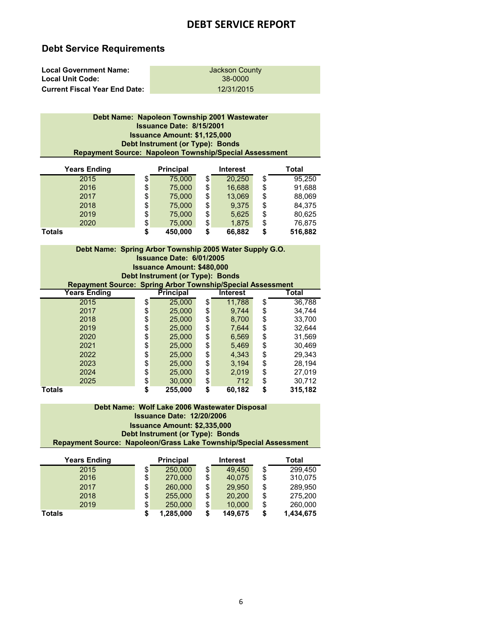# **Debt Service Requirements**

| <b>Local Government Name:</b>        | Jackson County |
|--------------------------------------|----------------|
| <b>Local Unit Code:</b>              | 38-0000        |
| <b>Current Fiscal Year End Date:</b> | 12/31/2015     |

| Debt Name: Napoleon Township 2001 Wastewater                  |
|---------------------------------------------------------------|
| <b>Issuance Date: 8/15/2001</b>                               |
| <b>Issuance Amount: \$1,125,000</b>                           |
| Debt Instrument (or Type): Bonds                              |
| <b>Repayment Source: Napoleon Township/Special Assessment</b> |
| $\cdot$                                                       |

| <b>Years Ending</b> | <b>Principal</b> |    | <b>Interest</b> | Total         |
|---------------------|------------------|----|-----------------|---------------|
| 2015                | \$<br>75,000     | \$ | 20.250          | \$<br>95,250  |
| 2016                | \$<br>75,000     | \$ | 16,688          | \$<br>91,688  |
| 2017                | \$<br>75,000     | \$ | 13,069          | \$<br>88,069  |
| 2018                | \$<br>75,000     | \$ | 9.375           | \$<br>84,375  |
| 2019                | \$<br>75,000     | \$ | 5,625           | \$<br>80,625  |
| 2020                | \$<br>75,000     | \$ | 1,875           | \$<br>76,875  |
| <b>Totals</b>       | \$<br>450,000    | S  | 66,882          | \$<br>516,882 |

| Debt Name: Spring Arbor Township 2005 Water Supply G.O.           |                                   |                 |               |
|-------------------------------------------------------------------|-----------------------------------|-----------------|---------------|
|                                                                   | <b>Issuance Date: 6/01/2005</b>   |                 |               |
|                                                                   | <b>Issuance Amount: \$480,000</b> |                 |               |
|                                                                   | Debt Instrument (or Type): Bonds  |                 |               |
| <b>Repayment Source: Spring Arbor Township/Special Assessment</b> |                                   |                 |               |
| <b>Years Ending</b>                                               | <b>Principal</b>                  | <b>Interest</b> | Total         |
| 2015                                                              | \$<br>25,000                      | \$<br>11.788    | \$<br>36,788  |
| 2017                                                              | \$<br>25,000                      | \$<br>9.744     | \$<br>34.744  |
| 2018                                                              | \$<br>25,000                      | \$<br>8.700     | \$<br>33,700  |
| 2019                                                              | \$<br>25,000                      | \$<br>7,644     | \$<br>32,644  |
| 2020                                                              | \$<br>25,000                      | \$<br>6,569     | \$<br>31,569  |
| 2021                                                              | \$<br>25,000                      | \$<br>5,469     | \$<br>30,469  |
| 2022                                                              | \$<br>25,000                      | \$<br>4.343     | \$<br>29.343  |
| 2023                                                              | \$<br>25,000                      | \$<br>3.194     | \$<br>28,194  |
| 2024                                                              | \$<br>25,000                      | \$<br>2,019     | \$<br>27,019  |
| 2025                                                              | \$<br>30,000                      | \$<br>712       | \$<br>30,712  |
| <b>Totals</b>                                                     | \$<br>255,000                     | \$<br>60,182    | \$<br>315,182 |

### **Debt Name: Wolf Lake 2006 Wastewater Disposal Issuance Date: 12/20/2006 Issuance Amount: \$2,335,000 Repayment Source: Napoleon/Grass Lake Township/Special Assessment Debt Instrument (or Type): Bonds**

| <b>Years Ending</b> |    | <b>Principal</b> |    | <b>Interest</b> | Total           |
|---------------------|----|------------------|----|-----------------|-----------------|
| 2015                | \$ | 250,000          | \$ | 49.450          | \$<br>299,450   |
| 2016                | \$ | 270,000          | \$ | 40,075          | \$<br>310,075   |
| 2017                | \$ | 260,000          | \$ | 29.950          | \$<br>289,950   |
| 2018                | \$ | 255,000          | \$ | 20,200          | \$<br>275,200   |
| 2019                | \$ | 250,000          | \$ | 10,000          | \$<br>260,000   |
| Totals              | S  | 1,285,000        | S  | 149,675         | \$<br>1,434,675 |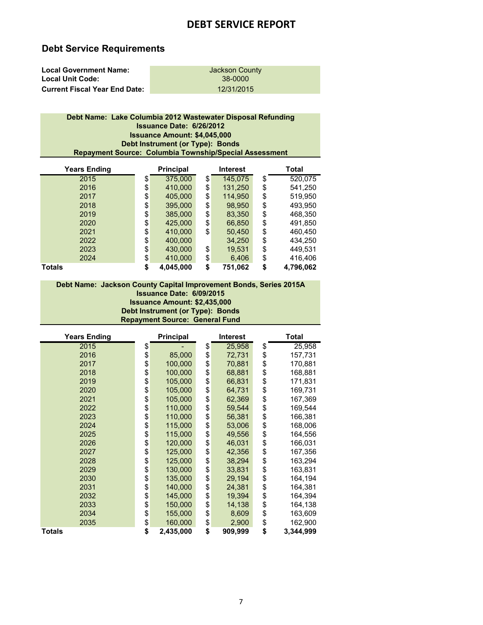# **Debt Service Requirements**

| <b>Local Government Name:</b>        | Jackson County |
|--------------------------------------|----------------|
| <b>Local Unit Code:</b>              | 38-0000        |
| <b>Current Fiscal Year End Date:</b> | 12/31/2015     |

### **Debt Instrument (or Type): Bonds Debt Name: Lake Columbia 2012 Wastewater Disposal Refunding Issuance Date: 6/26/2012 Issuance Amount: \$4,045,000 Repayment Source: Columbia Township/Special Assessment**

| <b>Years Ending</b> | <b>Principal</b> | <b>Interest</b> | Total           |
|---------------------|------------------|-----------------|-----------------|
| 2015                | \$<br>375,000    | \$<br>145,075   | \$<br>520,075   |
| 2016                | \$<br>410,000    | \$<br>131,250   | \$<br>541,250   |
| 2017                | \$<br>405,000    | \$<br>114,950   | \$<br>519,950   |
| 2018                | \$<br>395,000    | \$<br>98,950    | \$<br>493,950   |
| 2019                | \$<br>385,000    | \$<br>83,350    | \$<br>468,350   |
| 2020                | \$<br>425,000    | \$<br>66,850    | \$<br>491,850   |
| 2021                | \$<br>410,000    | \$<br>50,450    | \$<br>460,450   |
| 2022                | \$<br>400,000    | 34,250          | \$<br>434,250   |
| 2023                | \$<br>430.000    | \$<br>19,531    | \$<br>449,531   |
| 2024                | \$<br>410,000    | \$<br>6,406     | \$<br>416,406   |
| <b>Totals</b>       | \$<br>4,045,000  | \$<br>751,062   | \$<br>4,796,062 |

### **Debt Instrument (or Type): Bonds Repayment Source: General Fund Debt Name: Jackson County Capital Improvement Bonds, Series 2015A Issuance Date: 6/09/2015 Issuance Amount: \$2,435,000**

| <b>Years Ending</b> | Principal       | <b>Interest</b> | <b>Total</b>    |
|---------------------|-----------------|-----------------|-----------------|
| 2015                | \$              | \$<br>25,958    | \$<br>25,958    |
| 2016                | \$<br>85,000    | \$<br>72,731    | \$<br>157,731   |
| 2017                | \$<br>100,000   | \$<br>70,881    | \$<br>170,881   |
| 2018                | \$<br>100,000   | \$<br>68,881    | \$<br>168,881   |
| 2019                | \$<br>105,000   | \$<br>66,831    | \$<br>171,831   |
| 2020                | \$<br>105,000   | \$<br>64,731    | \$<br>169,731   |
| 2021                | \$<br>105,000   | \$<br>62,369    | \$<br>167,369   |
| 2022                | \$<br>110,000   | \$<br>59,544    | \$<br>169,544   |
| 2023                | \$<br>110,000   | \$<br>56,381    | \$<br>166,381   |
| 2024                | \$<br>115,000   | \$<br>53,006    | \$<br>168,006   |
| 2025                | \$<br>115,000   | \$<br>49,556    | \$<br>164,556   |
| 2026                | \$<br>120,000   | \$<br>46,031    | \$<br>166,031   |
| 2027                | \$<br>125,000   | \$<br>42,356    | \$<br>167,356   |
| 2028                | \$<br>125,000   | \$<br>38,294    | \$<br>163,294   |
| 2029                | \$<br>130,000   | \$<br>33,831    | \$<br>163,831   |
| 2030                | \$<br>135,000   | \$<br>29,194    | \$<br>164,194   |
| 2031                | \$<br>140,000   | \$<br>24,381    | \$<br>164,381   |
| 2032                | \$<br>145,000   | \$<br>19,394    | \$<br>164,394   |
| 2033                | \$<br>150,000   | \$<br>14,138    | \$<br>164,138   |
| 2034                | \$<br>155,000   | \$<br>8,609     | \$<br>163,609   |
| 2035                | \$<br>160,000   | \$<br>2,900     | \$<br>162,900   |
| <b>Totals</b>       | \$<br>2,435,000 | \$<br>909,999   | \$<br>3,344,999 |